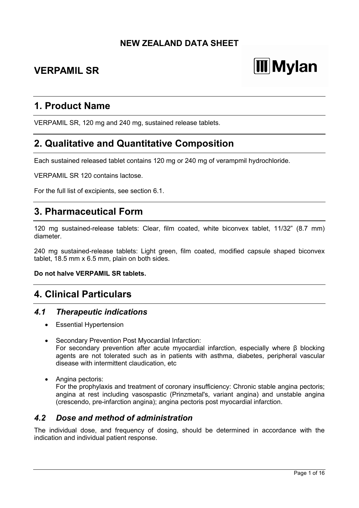# **NEW ZEALAND DATA SHEET**

# **VERPAMIL SR**

# **Mylan**

# **1. Product Name**

VERPAMIL SR, 120 mg and 240 mg, sustained release tablets.

# **2. Qualitative and Quantitative Composition**

Each sustained released tablet contains 120 mg or 240 mg of verampmil hydrochloride.

VERPAMIL SR 120 contains lactose.

For the full list of excipients, see section 6.1.

# **3. Pharmaceutical Form**

120 mg sustained-release tablets: Clear, film coated, white biconvex tablet, 11/32" (8.7 mm) diameter.

240 mg sustained-release tablets: Light green, film coated, modified capsule shaped biconvex tablet, 18.5 mm x 6.5 mm, plain on both sides.

#### **Do not halve VERPAMIL SR tablets.**

# **4. Clinical Particulars**

# *4.1 Therapeutic indications*

- Essential Hypertension
- Secondary Prevention Post Myocardial Infarction: For secondary prevention after acute myocardial infarction, especially where β blocking agents are not tolerated such as in patients with asthma, diabetes, peripheral vascular disease with intermittent claudication, etc
- Angina pectoris: For the prophylaxis and treatment of coronary insufficiency: Chronic stable angina pectoris; angina at rest including vasospastic (Prinzmetal's, variant angina) and unstable angina (crescendo, pre-infarction angina); angina pectoris post myocardial infarction.

# *4.2 Dose and method of administration*

The individual dose, and frequency of dosing, should be determined in accordance with the indication and individual patient response.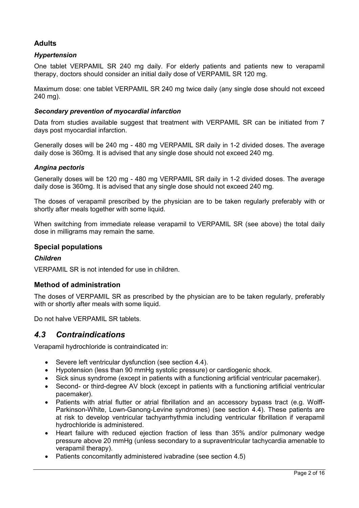# **Adults**

#### *Hypertension*

One tablet VERPAMIL SR 240 mg daily. For elderly patients and patients new to verapamil therapy, doctors should consider an initial daily dose of VERPAMIL SR 120 mg.

Maximum dose: one tablet VERPAMIL SR 240 mg twice daily (any single dose should not exceed 240 mg).

#### *Secondary prevention of myocardial infarction*

Data from studies available suggest that treatment with VERPAMIL SR can be initiated from 7 days post myocardial infarction.

Generally doses will be 240 mg - 480 mg VERPAMIL SR daily in 1-2 divided doses. The average daily dose is 360mg. It is advised that any single dose should not exceed 240 mg.

#### *Angina pectoris*

Generally doses will be 120 mg - 480 mg VERPAMIL SR daily in 1-2 divided doses. The average daily dose is 360mg. It is advised that any single dose should not exceed 240 mg.

The doses of verapamil prescribed by the physician are to be taken regularly preferably with or shortly after meals together with some liquid.

When switching from immediate release verapamil to VERPAMIL SR (see above) the total daily dose in milligrams may remain the same.

#### **Special populations**

#### *Children*

VERPAMIL SR is not intended for use in children.

#### **Method of administration**

The doses of VERPAMIL SR as prescribed by the physician are to be taken regularly, preferably with or shortly after meals with some liquid.

Do not halve VERPAMIL SR tablets.

# *4.3 Contraindications*

Verapamil hydrochloride is contraindicated in:

- Severe left ventricular dysfunction (see section 4.4).
- Hypotension (less than 90 mmHg systolic pressure) or cardiogenic shock.
- Sick sinus syndrome (except in patients with a functioning artificial ventricular pacemaker).
- Second- or third-degree AV block (except in patients with a functioning artificial ventricular pacemaker).
- Patients with atrial flutter or atrial fibrillation and an accessory bypass tract (e.g. Wolff-Parkinson-White, Lown-Ganong-Levine syndromes) (see section 4.4). These patients are at risk to develop ventricular tachyarrhythmia including ventricular fibrillation if verapamil hydrochloride is administered.
- Heart failure with reduced ejection fraction of less than 35% and/or pulmonary wedge pressure above 20 mmHg (unless secondary to a supraventricular tachycardia amenable to verapamil therapy).
- Patients concomitantly administered ivabradine (see section 4.5)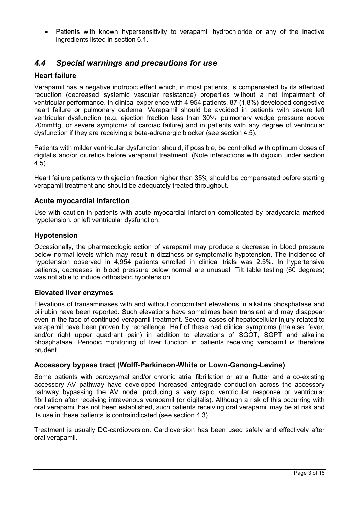Patients with known hypersensitivity to verapamil hydrochloride or any of the inactive ingredients listed in section 6.1.

# *4.4 Special warnings and precautions for use*

# **Heart failure**

Verapamil has a negative inotropic effect which, in most patients, is compensated by its afterload reduction (decreased systemic vascular resistance) properties without a net impairment of ventricular performance. In clinical experience with 4,954 patients, 87 (1.8%) developed congestive heart failure or pulmonary oedema. Verapamil should be avoided in patients with severe left ventricular dysfunction (e.g. ejection fraction less than 30%, pulmonary wedge pressure above 20mmHg, or severe symptoms of cardiac failure) and in patients with any degree of ventricular dysfunction if they are receiving a beta-adrenergic blocker (see section 4.5).

Patients with milder ventricular dysfunction should, if possible, be controlled with optimum doses of digitalis and/or diuretics before verapamil treatment. (Note interactions with digoxin under section 4.5).

Heart failure patients with ejection fraction higher than 35% should be compensated before starting verapamil treatment and should be adequately treated throughout.

#### **Acute myocardial infarction**

Use with caution in patients with acute myocardial infarction complicated by bradycardia marked hypotension, or left ventricular dysfunction.

#### **Hypotension**

Occasionally, the pharmacologic action of verapamil may produce a decrease in blood pressure below normal levels which may result in dizziness or symptomatic hypotension. The incidence of hypotension observed in 4,954 patients enrolled in clinical trials was 2.5%. In hypertensive patients, decreases in blood pressure below normal are unusual. Tilt table testing (60 degrees) was not able to induce orthostatic hypotension.

#### **Elevated liver enzymes**

Elevations of transaminases with and without concomitant elevations in alkaline phosphatase and bilirubin have been reported. Such elevations have sometimes been transient and may disappear even in the face of continued verapamil treatment. Several cases of hepatocellular injury related to verapamil have been proven by rechallenge. Half of these had clinical symptoms (malaise, fever, and/or right upper quadrant pain) in addition to elevations of SGOT, SGPT and alkaline phosphatase. Periodic monitoring of liver function in patients receiving verapamil is therefore prudent.

#### **Accessory bypass tract (Wolff-Parkinson-White or Lown-Ganong-Levine)**

Some patients with paroxysmal and/or chronic atrial fibrillation or atrial flutter and a co-existing accessory AV pathway have developed increased antegrade conduction across the accessory pathway bypassing the AV node, producing a very rapid ventricular response or ventricular fibrillation after receiving intravenous verapamil (or digitalis). Although a risk of this occurring with oral verapamil has not been established, such patients receiving oral verapamil may be at risk and its use in these patients is contraindicated (see section 4.3).

Treatment is usually DC-cardioversion. Cardioversion has been used safely and effectively after oral verapamil.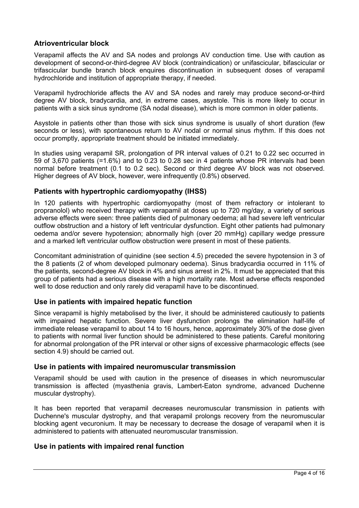# **Atrioventricular block**

Verapamil affects the AV and SA nodes and prolongs AV conduction time. Use with caution as development of second-or-third-degree AV block (contraindication) or unifascicular, bifascicular or trifascicular bundle branch block enquires discontinuation in subsequent doses of verapamil hydrochloride and institution of appropriate therapy, if needed.

Verapamil hydrochloride affects the AV and SA nodes and rarely may produce second-or-third degree AV block, bradycardia, and, in extreme cases, asystole. This is more likely to occur in patients with a sick sinus syndrome (SA nodal disease), which is more common in older patients.

Asystole in patients other than those with sick sinus syndrome is usually of short duration (few seconds or less), with spontaneous return to AV nodal or normal sinus rhythm. If this does not occur promptly, appropriate treatment should be initiated immediately.

In studies using verapamil SR, prolongation of PR interval values of 0.21 to 0.22 sec occurred in 59 of 3,670 patients (=1.6%) and to 0.23 to 0.28 sec in 4 patients whose PR intervals had been normal before treatment (0.1 to 0.2 sec). Second or third degree AV block was not observed. Higher degrees of AV block, however, were infrequently (0.8%) observed.

# **Patients with hypertrophic cardiomyopathy (IHSS)**

In 120 patients with hypertrophic cardiomyopathy (most of them refractory or intolerant to propranolol) who received therapy with verapamil at doses up to 720 mg/day, a variety of serious adverse effects were seen: three patients died of pulmonary oedema; all had severe left ventricular outflow obstruction and a history of left ventricular dysfunction. Eight other patients had pulmonary oedema and/or severe hypotension; abnormally high (over 20 mmHg) capillary wedge pressure and a marked left ventricular outflow obstruction were present in most of these patients.

Concomitant administration of quinidine (see section 4.5) preceded the severe hypotension in 3 of the 8 patients (2 of whom developed pulmonary oedema). Sinus bradycardia occurred in 11% of the patients, second-degree AV block in 4% and sinus arrest in 2%. It must be appreciated that this group of patients had a serious disease with a high mortality rate. Most adverse effects responded well to dose reduction and only rarely did verapamil have to be discontinued.

# **Use in patients with impaired hepatic function**

Since verapamil is highly metabolised by the liver, it should be administered cautiously to patients with impaired hepatic function. Severe liver dysfunction prolongs the elimination half-life of immediate release verapamil to about 14 to 16 hours, hence, approximately 30% of the dose given to patients with normal liver function should be administered to these patients. Careful monitoring for abnormal prolongation of the PR interval or other signs of excessive pharmacologic effects (see section 4.9) should be carried out.

# **Use in patients with impaired neuromuscular transmission**

Verapamil should be used with caution in the presence of diseases in which neuromuscular transmission is affected (myasthenia gravis, Lambert-Eaton syndrome, advanced Duchenne muscular dystrophy).

It has been reported that verapamil decreases neuromuscular transmission in patients with Duchenne's muscular dystrophy, and that verapamil prolongs recovery from the neuromuscular blocking agent vecuronium. It may be necessary to decrease the dosage of verapamil when it is administered to patients with attenuated neuromuscular transmission.

# **Use in patients with impaired renal function**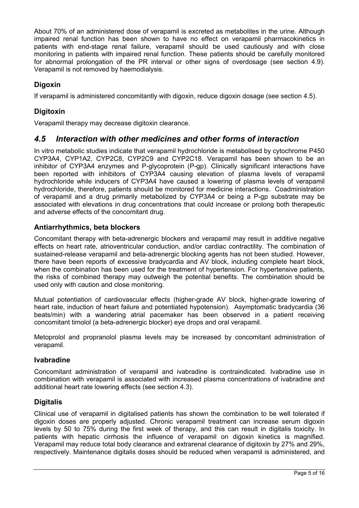About 70% of an administered dose of verapamil is excreted as metabolites in the urine. Although impaired renal function has been shown to have no effect on verapamil pharmacokinetics in patients with end-stage renal failure, verapamil should be used cautiously and with close monitoring in patients with impaired renal function. These patients should be carefully monitored for abnormal prolongation of the PR interval or other signs of overdosage (see section 4.9). Verapamil is not removed by haemodialysis.

# **Digoxin**

If verapamil is administered concomitantly with digoxin, reduce digoxin dosage (see section 4.5).

# **Digitoxin**

Verapamil therapy may decrease digitoxin clearance.

# *4.5 Interaction with other medicines and other forms of interaction*

In vitro metabolic studies indicate that verapamil hydrochloride is metabolised by cytochrome P450 CYP3A4, CYP1A2, CYP2C8, CYP2C9 and CYP2C18. Verapamil has been shown to be an inhibitor of CYP3A4 enzymes and P-glycoprotein (P-gp). Clinically significant interactions have been reported with inhibitors of CYP3A4 causing elevation of plasma levels of verapamil hydrochloride while inducers of CYP3A4 have caused a lowering of plasma levels of verapamil hydrochloride, therefore, patients should be monitored for medicine interactions. Coadministration of verapamil and a drug primarily metabolized by CYP3A4 or being a P-gp substrate may be associated with elevations in drug concentrations that could increase or prolong both therapeutic and adverse effects of the concomitant drug.

# **Antiarrhythmics, beta blockers**

Concomitant therapy with beta-adrenergic blockers and verapamil may result in additive negative effects on heart rate, atrioventricular conduction, and/or cardiac contractility. The combination of sustained-release verapamil and beta-adrenergic blocking agents has not been studied. However, there have been reports of excessive bradycardia and AV block, including complete heart block, when the combination has been used for the treatment of hypertension. For hypertensive patients, the risks of combined therapy may outweigh the potential benefits. The combination should be used only with caution and close monitoring.

Mutual potentiation of cardiovascular effects (higher-grade AV block, higher-grade lowering of heart rate, induction of heart failure and potentiated hypotension). Asymptomatic bradycardia (36 beats/min) with a wandering atrial pacemaker has been observed in a patient receiving concomitant timolol (a beta-adrenergic blocker) eye drops and oral verapamil.

Metoprolol and propranolol plasma levels may be increased by concomitant administration of verapamil.

# **Ivabradine**

Concomitant administration of verapamil and ivabradine is contraindicated. Ivabradine use in combination with verapamil is associated with increased plasma concentrations of ivabradine and additional heart rate lowering effects (see section 4.3).

# **Digitalis**

Clinical use of verapamil in digitalised patients has shown the combination to be well tolerated if digoxin doses are properly adjusted. Chronic verapamil treatment can increase serum digoxin levels by 50 to 75% during the first week of therapy, and this can result in digitalis toxicity. In patients with hepatic cirrhosis the influence of verapamil on digoxin kinetics is magnified. Verapamil may reduce total body clearance and extrarenal clearance of digitoxin by 27% and 29%, respectively. Maintenance digitalis doses should be reduced when verapamil is administered, and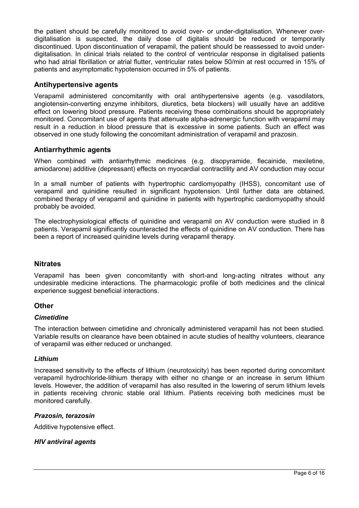the patient should be carefully monitored to avoid over- or under-digitalisation. Whenever overdigitalisation is suspected, the daily dose of digitalis should be reduced or temporarily discontinued. Upon discontinuation of verapamil, the patient should be reassessed to avoid underdigitalisation. In clinical trials related to the control of ventricular response in digitalised patients who had atrial fibrillation or atrial flutter, ventricular rates below 50/min at rest occurred in 15% of patients and asymptomatic hypotension occurred in 5% of patients.

#### **Antihypertensive agents**

Verapamil administered concomitantly with oral antihypertensive agents (e.g. vasodilators, angiotensin-converting enzyme inhibitors, diuretics, beta blockers) will usually have an additive effect on lowering blood pressure. Patients receiving these combinations should be appropriately monitored. Concomitant use of agents that attenuate alpha-adrenergic function with verapamil may result in a reduction in blood pressure that is excessive in some patients. Such an effect was observed in one study following the concomitant administration of verapamil and prazosin.

#### **Antiarrhythmic agents**

When combined with antiarrhythmic medicines (e.g. disopyramide, flecainide, mexiletine, amiodarone) additive (depressant) effects on myocardial contractility and AV conduction may occur

In a small number of patients with hypertrophic cardiomyopathy (IHSS), concomitant use of verapamil and quinidine resulted in significant hypotension. Until further data are obtained, combined therapy of verapamil and quinidine in patients with hypertrophic cardiomyopathy should probably be avoided.

The electrophysiological effects of quinidine and verapamil on AV conduction were studied in 8 patients. Verapamil significantly counteracted the effects of quinidine on AV conduction. There has been a report of increased quinidine levels during verapamil therapy.

#### **Nitrates**

Verapamil has been given concomitantly with short-and long-acting nitrates without any undesirable medicine interactions. The pharmacologic profile of both medicines and the clinical experience suggest beneficial interactions.

#### **Other**

#### *Cimetidine*

The interaction between cimetidine and chronically administered verapamil has not been studied. Variable results on clearance have been obtained in acute studies of healthy volunteers, clearance of verapamil was either reduced or unchanged.

#### *Lithium*

Increased sensitivity to the effects of lithium (neurotoxicity) has been reported during concomitant verapamil hydrochloride-lithium therapy with either no change or an increase in serum lithium levels. However, the addition of verapamil has also resulted in the lowering of serum lithium levels in patients receiving chronic stable oral lithium. Patients receiving both medicines must be monitored carefully.

#### *Prazosin, terazosin*

Additive hypotensive effect.

#### *HIV antiviral agents*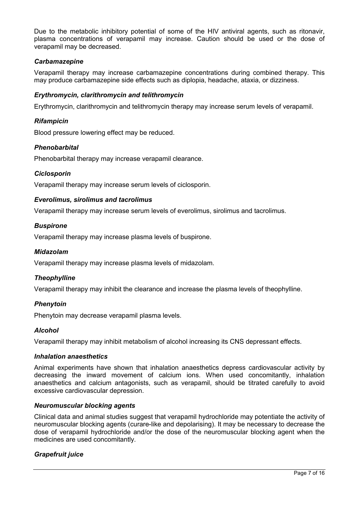Due to the metabolic inhibitory potential of some of the HIV antiviral agents, such as ritonavir, plasma concentrations of verapamil may increase. Caution should be used or the dose of verapamil may be decreased.

#### *Carbamazepine*

Verapamil therapy may increase carbamazepine concentrations during combined therapy. This may produce carbamazepine side effects such as diplopia, headache, ataxia, or dizziness.

#### *Erythromycin, clarithromycin and telithromycin*

Erythromycin, clarithromycin and telithromycin therapy may increase serum levels of verapamil.

#### *Rifampicin*

Blood pressure lowering effect may be reduced.

#### *Phenobarbital*

Phenobarbital therapy may increase verapamil clearance.

#### *Ciclosporin*

Verapamil therapy may increase serum levels of ciclosporin.

#### *Everolimus, sirolimus and tacrolimus*

Verapamil therapy may increase serum levels of everolimus, sirolimus and tacrolimus.

#### *Buspirone*

Verapamil therapy may increase plasma levels of buspirone.

#### *Midazolam*

Verapamil therapy may increase plasma levels of midazolam.

#### *Theophylline*

Verapamil therapy may inhibit the clearance and increase the plasma levels of theophylline.

#### *Phenytoin*

Phenytoin may decrease verapamil plasma levels.

#### *Alcohol*

Verapamil therapy may inhibit metabolism of alcohol increasing its CNS depressant effects.

#### *Inhalation anaesthetics*

Animal experiments have shown that inhalation anaesthetics depress cardiovascular activity by decreasing the inward movement of calcium ions. When used concomitantly, inhalation anaesthetics and calcium antagonists, such as verapamil, should be titrated carefully to avoid excessive cardiovascular depression.

#### *Neuromuscular blocking agents*

Clinical data and animal studies suggest that verapamil hydrochloride may potentiate the activity of neuromuscular blocking agents (curare-like and depolarising). It may be necessary to decrease the dose of verapamil hydrochloride and/or the dose of the neuromuscular blocking agent when the medicines are used concomitantly.

#### *Grapefruit juice*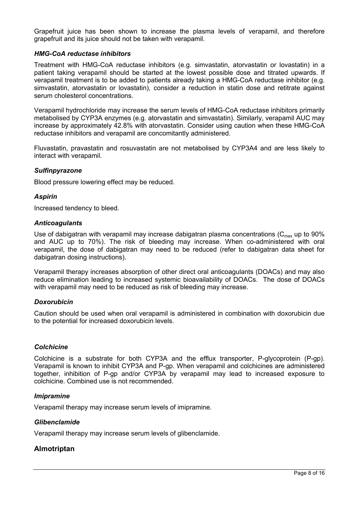Grapefruit juice has been shown to increase the plasma levels of verapamil, and therefore grapefruit and its juice should not be taken with verapamil.

#### *HMG-CoA reductase inhibitors*

Treatment with HMG-CoA reductase inhibitors (e.g. simvastatin, atorvastatin or lovastatin) in a patient taking verapamil should be started at the lowest possible dose and titrated upwards. If verapamil treatment is to be added to patients already taking a HMG-CoA reductase inhibitor (e.g. simvastatin, atorvastatin or lovastatin), consider a reduction in statin dose and retitrate against serum cholesterol concentrations.

Verapamil hydrochloride may increase the serum levels of HMG-CoA reductase inhibitors primarily metabolised by CYP3A enzymes (e.g. atorvastatin and simvastatin). Similarly, verapamil AUC may increase by approximately 42.8% with atorvastatin. Consider using caution when these HMG-CoA reductase inhibitors and verapamil are concomitantly administered.

Fluvastatin, pravastatin and rosuvastatin are not metabolised by CYP3A4 and are less likely to interact with verapamil.

#### *Sulfinpyrazone*

Blood pressure lowering effect may be reduced.

#### *Aspirin*

Increased tendency to bleed.

#### *Anticoagulants*

Use of dabigatran with verapamil may increase dabigatran plasma concentrations ( $C_{\text{max}}$  up to 90% and AUC up to 70%). The risk of bleeding may increase. When co-administered with oral verapamil, the dose of dabigatran may need to be reduced (refer to dabigatran data sheet for dabigatran dosing instructions).

Verapamil therapy increases absorption of other direct oral anticoagulants (DOACs) and may also reduce elimination leading to increased systemic bioavailability of DOACs. The dose of DOACs with verapamil may need to be reduced as risk of bleeding may increase.

#### *Doxorubicin*

Caution should be used when oral verapamil is administered in combination with doxorubicin due to the potential for increased doxorubicin levels.

#### *Colchicine*

Colchicine is a substrate for both CYP3A and the efflux transporter, P-glycoprotein (P-gp). Verapamil is known to inhibit CYP3A and P-gp. When verapamil and colchicines are administered together, inhibition of P-gp and/or CYP3A by verapamil may lead to increased exposure to colchicine. Combined use is not recommended.

#### *Imipramine*

Verapamil therapy may increase serum levels of imipramine.

#### *Glibenclamide*

Verapamil therapy may increase serum levels of glibenclamide.

# **Almotriptan**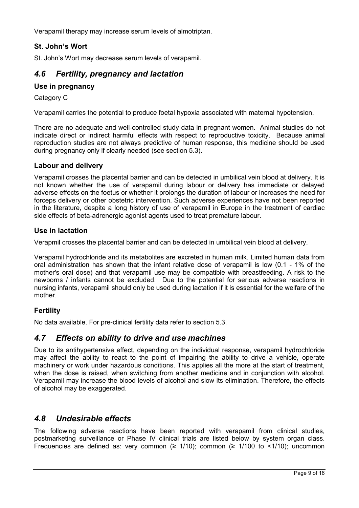Verapamil therapy may increase serum levels of almotriptan.

# **St. John's Wort**

St. John's Wort may decrease serum levels of verapamil.

# *4.6 Fertility, pregnancy and lactation*

# **Use in pregnancy**

Category C

Verapamil carries the potential to produce foetal hypoxia associated with maternal hypotension.

There are no adequate and well-controlled study data in pregnant women. Animal studies do not indicate direct or indirect harmful effects with respect to reproductive toxicity. Because animal reproduction studies are not always predictive of human response, this medicine should be used during pregnancy only if clearly needed (see section 5.3).

#### **Labour and delivery**

Verapamil crosses the placental barrier and can be detected in umbilical vein blood at delivery. It is not known whether the use of verapamil during labour or delivery has immediate or delayed adverse effects on the foetus or whether it prolongs the duration of labour or increases the need for forceps delivery or other obstetric intervention. Such adverse experiences have not been reported in the literature, despite a long history of use of verapamil in Europe in the treatment of cardiac side effects of beta-adrenergic agonist agents used to treat premature labour.

#### **Use in lactation**

Verapmil crosses the placental barrier and can be detected in umbilical vein blood at delivery.

Verapamil hydrochloride and its metabolites are excreted in human milk. Limited human data from oral administration has shown that the infant relative dose of verapamil is low (0.1 - 1% of the mother's oral dose) and that verapamil use may be compatible with breastfeeding. A risk to the newborns / infants cannot be excluded. Due to the potential for serious adverse reactions in nursing infants, verapamil should only be used during lactation if it is essential for the welfare of the mother.

# **Fertility**

No data available. For pre-clinical fertility data refer to section 5.3.

# *4.7 Effects on ability to drive and use machines*

Due to its antihypertensive effect, depending on the individual response, verapamil hydrochloride may affect the ability to react to the point of impairing the ability to drive a vehicle, operate machinery or work under hazardous conditions. This applies all the more at the start of treatment, when the dose is raised, when switching from another medicine and in conjunction with alcohol. Verapamil may increase the blood levels of alcohol and slow its elimination. Therefore, the effects of alcohol may be exaggerated.

# *4.8 Undesirable effects*

The following adverse reactions have been reported with verapamil from clinical studies, postmarketing surveillance or Phase IV clinical trials are listed below by system organ class. Frequencies are defined as: very common ( $\geq$  1/10); common ( $\geq$  1/100 to <1/10); uncommon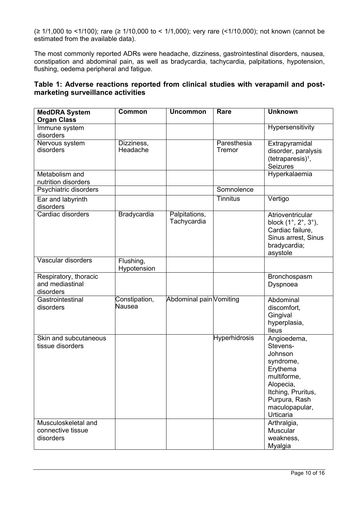(≥ 1/1,000 to <1/100); rare (≥ 1/10,000 to < 1/1,000); very rare (<1/10,000); not known (cannot be estimated from the available data).

The most commonly reported ADRs were headache, dizziness, gastrointestinal disorders, nausea, constipation and abdominal pain, as well as bradycardia, tachycardia, palpitations, hypotension, flushing, oedema peripheral and fatigue.

# **Table 1: Adverse reactions reported from clinical studies with verapamil and postmarketing surveillance activities**

| <b>MedDRA System</b><br><b>Organ Class</b>            | <b>Common</b>            | <b>Uncommon</b>              | Rare                  | <b>Unknown</b>                                                                                                                                                |
|-------------------------------------------------------|--------------------------|------------------------------|-----------------------|---------------------------------------------------------------------------------------------------------------------------------------------------------------|
| Immune system<br>disorders                            |                          |                              |                       | Hypersensitivity                                                                                                                                              |
| Nervous system<br>disorders                           | Dizziness,<br>Headache   |                              | Paresthesia<br>Tremor | Extrapyramidal<br>disorder, paralysis<br>$(tetraparesis)^1$ ,<br><b>Seizures</b>                                                                              |
| Metabolism and<br>nutrition disorders                 |                          |                              |                       | Hyperkalaemia                                                                                                                                                 |
| Psychiatric disorders                                 |                          |                              | Somnolence            |                                                                                                                                                               |
| Ear and labyrinth<br>disorders                        |                          |                              | Tinnitus              | Vertigo                                                                                                                                                       |
| Cardiac disorders                                     | Bradycardia              | Palpitations,<br>Tachycardia |                       | Atrioventricular<br>block (1°, 2°, 3°),<br>Cardiac failure,<br>Sinus arrest, Sinus<br>bradycardia;<br>asystole                                                |
| Vascular disorders                                    | Flushing,<br>Hypotension |                              |                       |                                                                                                                                                               |
| Respiratory, thoracic<br>and mediastinal<br>disorders |                          |                              |                       | Bronchospasm<br>Dyspnoea                                                                                                                                      |
| Gastrointestinal<br>disorders                         | Constipation,<br>Nausea  | Abdominal pain Vomiting      |                       | Abdominal<br>discomfort,<br>Gingival<br>hyperplasia,<br><b>Ileus</b>                                                                                          |
| Skin and subcutaneous<br>tissue disorders             |                          |                              | <b>Hyperhidrosis</b>  | Angioedema,<br>Stevens-<br>Johnson<br>syndrome,<br>Erythema<br>multiforme,<br>Alopecia,<br>Itching, Pruritus,<br>Purpura, Rash<br>maculopapular,<br>Urticaria |
| Musculoskeletal and<br>connective tissue<br>disorders |                          |                              |                       | Arthralgia,<br><b>Muscular</b><br>weakness,<br>Myalgia                                                                                                        |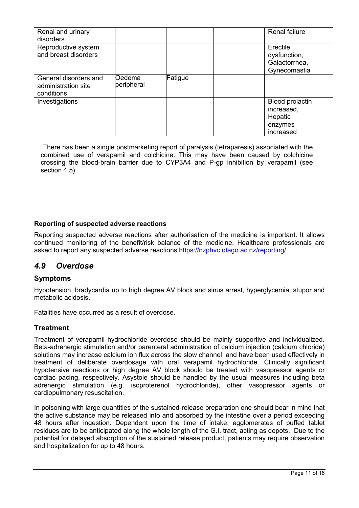| Renal and urinary<br>disorders                             |                       |         | <b>Renal failure</b>                                                    |
|------------------------------------------------------------|-----------------------|---------|-------------------------------------------------------------------------|
| Reproductive system<br>and breast disorders                |                       |         | Erectile<br>dysfunction,<br>Galactorrhea,<br>Gynecomastia               |
| General disorders and<br>administration site<br>conditions | lOedema<br>peripheral | Fatigue |                                                                         |
| Investigations                                             |                       |         | <b>Blood prolactin</b><br>increased,<br>Hepatic<br>enzymes<br>increased |

<sup>1</sup>There has been a single postmarketing report of paralysis (tetraparesis) associated with the combined use of verapamil and colchicine. This may have been caused by colchicine crossing the blood-brain barrier due to CYP3A4 and P-gp inhibition by verapamil (see section 4.5).

#### **Reporting of suspected adverse reactions**

Reporting suspected adverse reactions after authorisation of the medicine is important. It allows continued monitoring of the benefit/risk balance of the medicine. Healthcare professionals are asked to report any suspected adverse reactions https://nzphvc.otago.ac.nz/reporting/.

# *4.9 Overdose*

#### **Symptoms**

Hypotension, bradycardia up to high degree AV block and sinus arrest, hyperglycemia, stupor and metabolic acidosis.

Fatalities have occurred as a result of overdose.

# **Treatment**

Treatment of verapamil hydrochloride overdose should be mainly supportive and individualized. Beta-adrenergic stimulation and/or parenteral administration of calcium injection (calcium chloride) solutions may increase calcium ion flux across the slow channel, and have been used effectively in treatment of deliberate overdosage with oral verapamil hydrochloride. Clinically significant hypotensive reactions or high degree AV block should be treated with vasopressor agents or cardiac pacing, respectively. Asystole should be handled by the usual measures including beta adrenergic stimulation (e.g. isoproterenol hydrochloride), other vasopressor agents or cardiopulmonary resuscitation.

In poisoning with large quantities of the sustained-release preparation one should bear in mind that the active substance may be released into and absorbed by the intestine over a period exceeding 48 hours after ingestion. Dependent upon the time of intake, agglomerates of puffed tablet residues are to be anticipated along the whole length of the G.I. tract, acting as depots. Due to the potential for delayed absorption of the sustained release product, patients may require observation and hospitalization for up to 48 hours.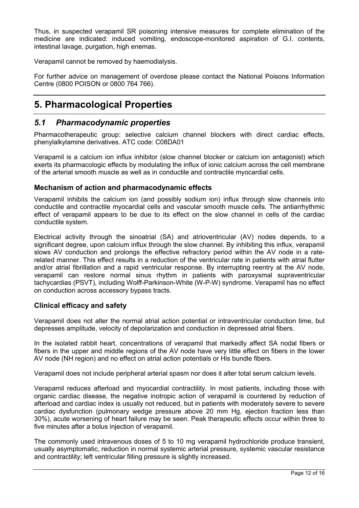Thus, in suspected verapamil SR poisoning intensive measures for complete elimination of the medicine are indicated: induced vomiting, endoscope-monitored aspiration of G.I. contents, intestinal lavage, purgation, high enemas.

Verapamil cannot be removed by haemodialysis.

For further advice on management of overdose please contact the National Poisons Information Centre (0800 POISON or 0800 764 766).

# **5. Pharmacological Properties**

# *5.1 Pharmacodynamic properties*

Pharmacotherapeutic group: selective calcium channel blockers with direct cardiac effects, phenylalkylamine derivatives. ATC code: C08DA01

Verapamil is a calcium ion influx inhibitor (slow channel blocker or calcium ion antagonist) which exerts its pharmacologic effects by modulating the influx of ionic calcium across the cell membrane of the arterial smooth muscle as well as in conductile and contractile myocardial cells.

#### **Mechanism of action and pharmacodynamic effects**

Verapamil inhibits the calcium ion (and possibly sodium ion) influx through slow channels into conductile and contractile myocardial cells and vascular smooth muscle cells. The antiarrhythmic effect of verapamil appears to be due to its effect on the slow channel in cells of the cardiac conductile system.

Electrical activity through the sinoatrial (SA) and atrioventricular (AV) nodes depends, to a significant degree, upon calcium influx through the slow channel. By inhibiting this influx, verapamil slows AV conduction and prolongs the effective refractory period within the AV node in a raterelated manner. This effect results in a reduction of the ventricular rate in patients with atrial flutter and/or atrial fibrillation and a rapid ventricular response. By interrupting reentry at the AV node, verapamil can restore normal sinus rhythm in patients with paroxysmal supraventricular tachycardias (PSVT), including Wolff-Parkinson-White (W-P-W) syndrome. Verapamil has no effect on conduction across accessory bypass tracts.

#### **Clinical efficacy and safety**

Verapamil does not alter the normal atrial action potential or intraventricular conduction time, but depresses amplitude, velocity of depolarization and conduction in depressed atrial fibers.

In the isolated rabbit heart, concentrations of verapamil that markedly affect SA nodal fibers or fibers in the upper and middle regions of the AV node have very little effect on fibers in the lower AV node (NH region) and no effect on atrial action potentials or His bundle fibers.

Verapamil does not include peripheral arterial spasm nor does it alter total serum calcium levels.

Verapamil reduces afterload and myocardial contractility. In most patients, including those with organic cardiac disease, the negative inotropic action of verapamil is countered by reduction of afterload and cardiac index is usually not reduced, but in patients with moderately severe to severe cardiac dysfunction (pulmonary wedge pressure above 20 mm Hg, ejection fraction less than 30%), acute worsening of heart failure may be seen. Peak therapeutic effects occur within three to five minutes after a bolus injection of verapamil.

The commonly used intravenous doses of 5 to 10 mg verapamil hydrochloride produce transient, usually asymptomatic, reduction in normal systemic arterial pressure, systemic vascular resistance and contractility; left ventricular filling pressure is slightly increased.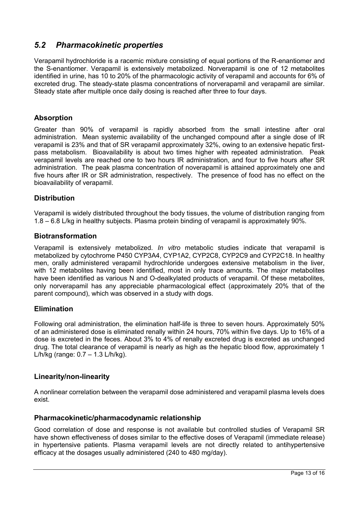# *5.2 Pharmacokinetic properties*

Verapamil hydrochloride is a racemic mixture consisting of equal portions of the R-enantiomer and the S-enantiomer. Verapamil is extensively metabolized. Norverapamil is one of 12 metabolites identified in urine, has 10 to 20% of the pharmacologic activity of verapamil and accounts for 6% of excreted drug. The steady-state plasma concentrations of norverapamil and verapamil are similar. Steady state after multiple once daily dosing is reached after three to four days.

### **Absorption**

Greater than 90% of verapamil is rapidly absorbed from the small intestine after oral administration. Mean systemic availability of the unchanged compound after a single dose of IR verapamil is 23% and that of SR verapamil approximately 32%, owing to an extensive hepatic firstpass metabolism. Bioavailability is about two times higher with repeated administration. Peak verapamil levels are reached one to two hours IR administration, and four to five hours after SR administration. The peak plasma concentration of noverapamil is attained approximately one and five hours after IR or SR administration, respectively. The presence of food has no effect on the bioavailability of verapamil.

#### **Distribution**

Verapamil is widely distributed throughout the body tissues, the volume of distribution ranging from 1.8 – 6.8 L/kg in healthy subjects. Plasma protein binding of verapamil is approximately 90%.

#### **Biotransformation**

Verapamil is extensively metabolized. *In vitro* metabolic studies indicate that verapamil is metabolized by cytochrome P450 CYP3A4, CYP1A2, CYP2C8, CYP2C9 and CYP2C18. In healthy men, orally administered verapamil hydrochloride undergoes extensive metabolism in the liver, with 12 metabolites having been identified, most in only trace amounts. The major metabolites have been identified as various N and O-dealkylated products of verapamil. Of these metabolites, only norverapamil has any appreciable pharmacological effect (approximately 20% that of the parent compound), which was observed in a study with dogs.

# **Elimination**

Following oral administration, the elimination half-life is three to seven hours. Approximately 50% of an administered dose is eliminated renally within 24 hours, 70% within five days. Up to 16% of a dose is excreted in the feces. About 3% to 4% of renally excreted drug is excreted as unchanged drug. The total clearance of verapamil is nearly as high as the hepatic blood flow, approximately 1 L/h/kg (range: 0.7 – 1.3 L/h/kg).

#### **Linearity/non-linearity**

A nonlinear correlation between the verapamil dose administered and verapamil plasma levels does exist.

#### **Pharmacokinetic/pharmacodynamic relationship**

Good correlation of dose and response is not available but controlled studies of Verapamil SR have shown effectiveness of doses similar to the effective doses of Verapamil (immediate release) in hypertensive patients. Plasma verapamil levels are not directly related to antihypertensive efficacy at the dosages usually administered (240 to 480 mg/day).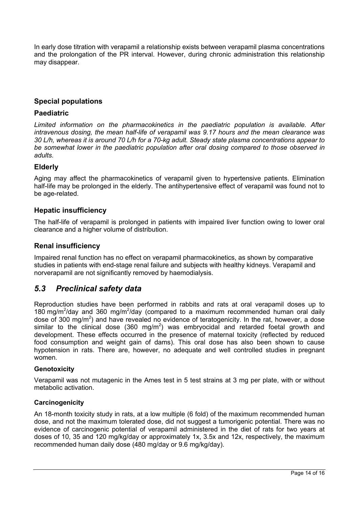In early dose titration with verapamil a relationship exists between verapamil plasma concentrations and the prolongation of the PR interval. However, during chronic administration this relationship may disappear.

# **Special populations**

#### **Paediatric**

*Limited information on the pharmacokinetics in the paediatric population is available. After intravenous dosing, the mean half-life of verapamil was 9.17 hours and the mean clearance was 30 L/h, whereas it is around 70 L/h for a 70-kg adult. Steady state plasma concentrations appear to be somewhat lower in the paediatric population after oral dosing compared to those observed in adults.*

#### **Elderly**

Aging may affect the pharmacokinetics of verapamil given to hypertensive patients. Elimination half-life may be prolonged in the elderly. The antihypertensive effect of verapamil was found not to be age-related.

#### **Hepatic insufficiency**

The half-life of verapamil is prolonged in patients with impaired liver function owing to lower oral clearance and a higher volume of distribution.

#### **Renal insufficiency**

Impaired renal function has no effect on verapamil pharmacokinetics, as shown by comparative studies in patients with end-stage renal failure and subjects with healthy kidneys. Verapamil and norverapamil are not significantly removed by haemodialysis.

# *5.3 Preclinical safety data*

Reproduction studies have been performed in rabbits and rats at oral verapamil doses up to 180 mg/m<sup>2</sup>/day and 360 mg/m<sup>2</sup>/day (compared to a maximum recommended human oral daily dose of 300 mg/m<sup>2</sup>) and have revealed no evidence of teratogenicity. In the rat, however, a dose similar to the clinical dose (360 mg/m<sup>2</sup>) was embryocidal and retarded foetal growth and development. These effects occurred in the presence of maternal toxicity (reflected by reduced food consumption and weight gain of dams). This oral dose has also been shown to cause hypotension in rats. There are, however, no adequate and well controlled studies in pregnant women.

#### **Genotoxicity**

Verapamil was not mutagenic in the Ames test in 5 test strains at 3 mg per plate, with or without metabolic activation.

#### **Carcinogenicity**

An 18-month toxicity study in rats, at a low multiple (6 fold) of the maximum recommended human dose, and not the maximum tolerated dose, did not suggest a tumorigenic potential. There was no evidence of carcinogenic potential of verapamil administered in the diet of rats for two years at doses of 10, 35 and 120 mg/kg/day or approximately 1x, 3.5x and 12x, respectively, the maximum recommended human daily dose (480 mg/day or 9.6 mg/kg/day).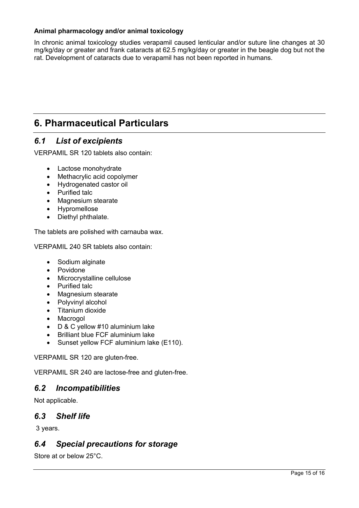### **Animal pharmacology and/or animal toxicology**

In chronic animal toxicology studies verapamil caused lenticular and/or suture line changes at 30 mg/kg/day or greater and frank cataracts at 62.5 mg/kg/day or greater in the beagle dog but not the rat. Development of cataracts due to verapamil has not been reported in humans.

# **6. Pharmaceutical Particulars**

# *6.1 List of excipients*

VERPAMIL SR 120 tablets also contain:

- Lactose monohydrate
- Methacrylic acid copolymer
- Hydrogenated castor oil
- Purified talc
- Magnesium stearate
- Hypromellose
- Diethyl phthalate.

The tablets are polished with carnauba wax.

VERPAMIL 240 SR tablets also contain:

- Sodium alginate
- Povidone
- Microcrystalline cellulose
- Purified talc
- Magnesium stearate
- Polyvinyl alcohol
- Titanium dioxide
- Macrogol
- D & C yellow #10 aluminium lake
- Brilliant blue FCF aluminium lake
- Sunset yellow FCF aluminium lake (E110).

VERPAMIL SR 120 are gluten-free.

VERPAMIL SR 240 are lactose-free and gluten-free.

# *6.2 Incompatibilities*

Not applicable.

# *6.3 Shelf life*

3 years.

# *6.4 Special precautions for storage*

Store at or below 25°C.